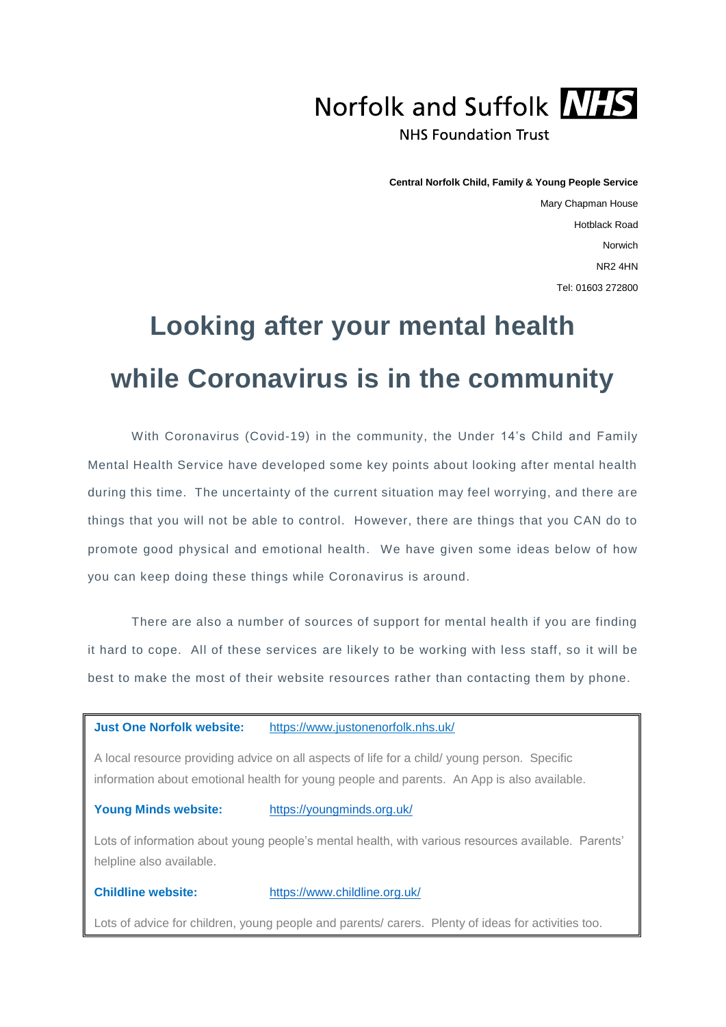

**Central Norfolk Child, Family & Young People Service**

Mary Chapman House Hotblack Road Norwich NR2 4HN Tel: 01603 272800

## **Looking after your mental health while Coronavirus is in the community**

With Coronavirus (Covid-19) in the community, the Under 14's Child and Family Mental Health Service have developed some key points about looking after mental health during this time. The uncertainty of the current situation may feel worrying, and there are things that you will not be able to control. However, there are things that you CAN do to promote good physical and emotional health. We have given some ideas below of how you can keep doing these things while Coronavirus is around.

There are also a number of sources of support for mental health if you are finding it hard to cope. All of these services are likely to be working with less staff, so it will be best to make the most of their website resources rather than contacting them by phone.

**Just One Norfolk website:** <https://www.justonenorfolk.nhs.uk/>

A local resource providing advice on all aspects of life for a child/ young person. Specific information about emotional health for young people and parents. An App is also available.

**Young Minds website:** <https://youngminds.org.uk/>

Lots of information about young people's mental health, with various resources available. Parents' helpline also available.

**Childline website:** <https://www.childline.org.uk/>

Lots of advice for children, young people and parents/ carers. Plenty of ideas for activities too.